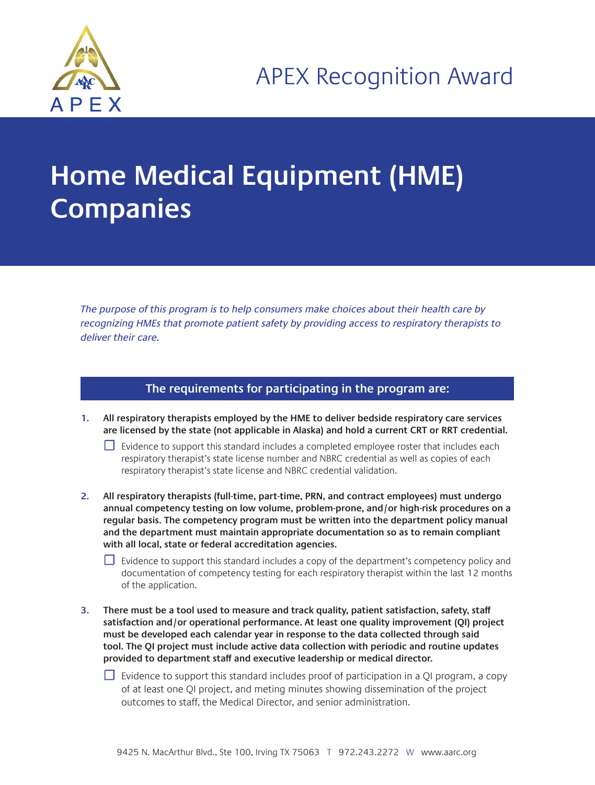

## **Home Medical Equipment (HME) Companies**

The purpose of this program is to help consumers make choices about their health care by recognizing HMEs that promote patient safety by providing access to respiratory therapists to deliver their care.

## **The requirements for participating in the program are:**

- **1. All respiratory therapists employed by the HME to deliver bedside respiratory care services are licensed by the state (not applicable in Alaska) and hold a current CRT or RRT credential.**
	- $□$  Evidence to support this standard includes a completed employee roster that includes each respiratory therapist's state license number and NBRC credential as well as copies of each respiratory therapist's state license and NBRC credential validation.
- **2. All respiratory therapists (full-time, part-time, PRN, and contract employees) must undergo annual competency testing on low volume, problem-prone, and/or high-risk procedures on a regular basis. The competency program must be written into the department policy manual and the department must maintain appropriate documentation so as to remain compliant with all local, state or federal accreditation agencies.**
	- $\Box$  Evidence to support this standard includes a copy of the department's competency policy and documentation of competency testing for each respiratory therapist within the last 12 months of the application.
- **3. There must be a tool used to measure and track quality, patient satisfaction, safety, staff satisfaction and/or operational performance. At least one quality improvement (QI) project must be developed each calendar year in response to the data collected through said tool. The QI project must include active data collection with periodic and routine updates provided to department staff and executive leadership or medical director.**

 $\Box$  Evidence to support this standard includes proof of participation in a QI program, a copy of at least one QI project, and meting minutes showing dissemination of the project outcomes to staff, the Medical Director, and senior administration.